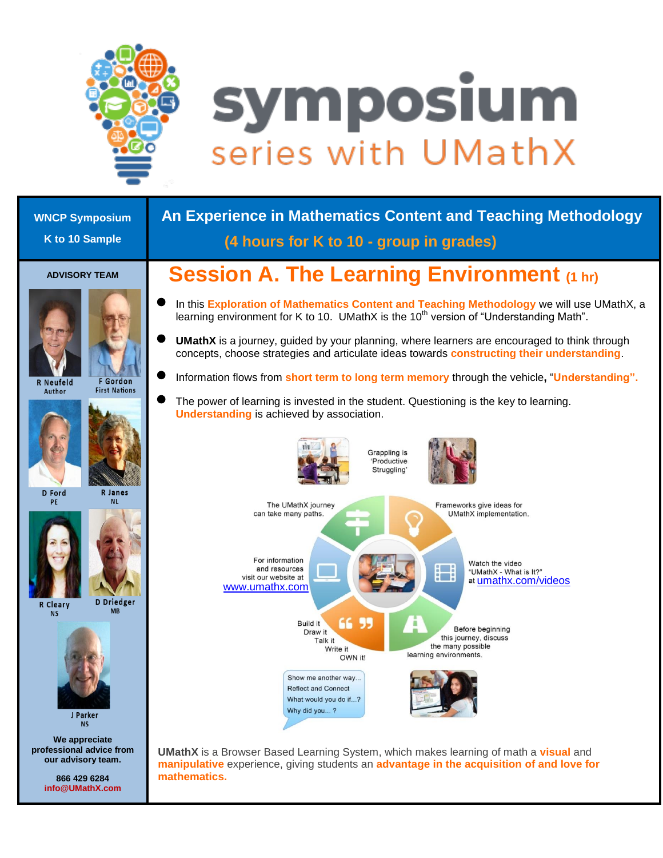

# symposium series with UMathX

| <b>WNCP Symposium</b>                                                 | An Experience in Mathematics Content and Teaching Methodology                                                                                                                                          |  |  |
|-----------------------------------------------------------------------|--------------------------------------------------------------------------------------------------------------------------------------------------------------------------------------------------------|--|--|
| K to 10 Sample                                                        | (4 hours for K to 10 - group in grades)                                                                                                                                                                |  |  |
| <b>ADVISORY TEAM</b>                                                  | <b>Session A. The Learning Environment (1 hr)</b>                                                                                                                                                      |  |  |
|                                                                       | In this <b>Exploration of Mathematics Content and Teaching Methodology</b> we will use UMathX, a<br>learning environment for K to 10. UMathX is the 10 <sup>th</sup> version of "Understanding Math".  |  |  |
|                                                                       | <b>UMathX</b> is a journey, guided by your planning, where learners are encouraged to think through<br>concepts, choose strategies and articulate ideas towards constructing their understanding.      |  |  |
| <b>F</b> Gordon<br><b>R</b> Neufeld<br><b>First Nations</b><br>Author | Information flows from short term to long term memory through the vehicle, "Understanding".                                                                                                            |  |  |
|                                                                       | The power of learning is invested in the student. Questioning is the key to learning.<br><b>Understanding</b> is achieved by association.                                                              |  |  |
|                                                                       | Grappling is<br>'Productive<br>Struggling'                                                                                                                                                             |  |  |
| <b>R</b> Janes<br>D Ford<br>PE<br><b>NL</b>                           | The UMathX journey<br>Frameworks give ideas for                                                                                                                                                        |  |  |
| <b>D</b> Driedger<br><b>R</b> Cleary                                  | can take many paths.<br>UMathX implementation.<br>For information<br>Watch the video<br>⊞<br>and resources<br>"UMathX - What is It?"<br>visit our website at<br>at umathx.com/videos<br>www.umathx.com |  |  |
| <b>MB</b><br><b>NS</b>                                                | 66 99<br>Build it<br>Before beginning<br>Draw it<br>this journey, discuss<br>Talk it<br>the many possible<br>Write it<br>learning environments.<br>OWN it!                                             |  |  |
| J Parker<br><b>NS</b>                                                 | Show me another way<br><b>Reflect and Connect</b><br>What would you do if?<br>Why did you?                                                                                                             |  |  |
| We appreciate<br>professional advice from<br>our advisory team.       | <b>UMathX</b> is a Browser Based Learning System, which makes learning of math a visual and<br>manipulative experience, giving students an advantage in the acquisition of and love for                |  |  |
| 866 429 6284<br>info@UMathX.com                                       | mathematics.                                                                                                                                                                                           |  |  |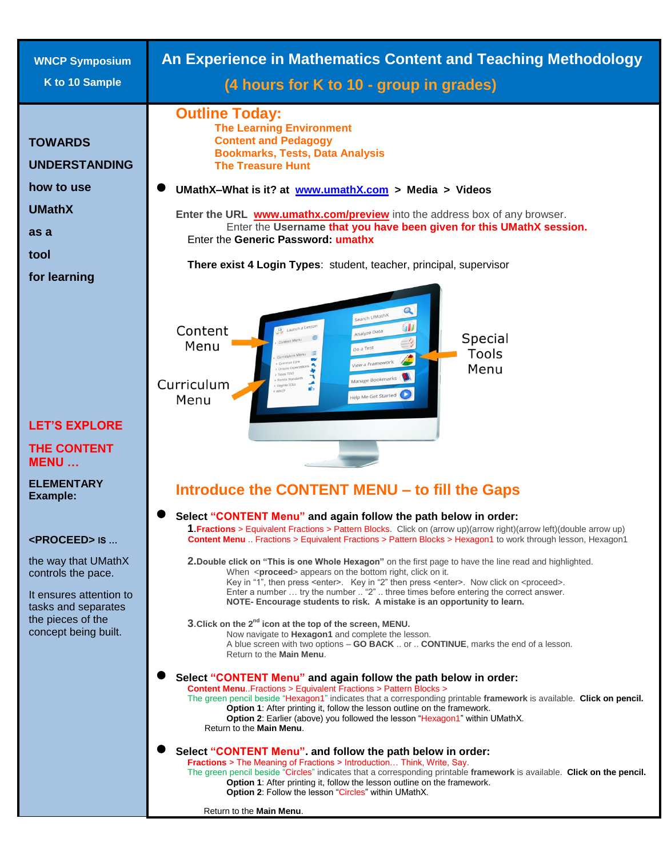| <b>WNCP Symposium</b>                                                                                                                    | An Experience in Mathematics Content and Teaching Methodology                                                                                                                                                                                                                                                                                                                                                                                                                                                                                                                                                                                                                                                                                                                                                                                                                                                                                                                                                                                                                                                                                                                                                 |  |  |
|------------------------------------------------------------------------------------------------------------------------------------------|---------------------------------------------------------------------------------------------------------------------------------------------------------------------------------------------------------------------------------------------------------------------------------------------------------------------------------------------------------------------------------------------------------------------------------------------------------------------------------------------------------------------------------------------------------------------------------------------------------------------------------------------------------------------------------------------------------------------------------------------------------------------------------------------------------------------------------------------------------------------------------------------------------------------------------------------------------------------------------------------------------------------------------------------------------------------------------------------------------------------------------------------------------------------------------------------------------------|--|--|
| K to 10 Sample                                                                                                                           | (4 hours for K to 10 - group in grades)                                                                                                                                                                                                                                                                                                                                                                                                                                                                                                                                                                                                                                                                                                                                                                                                                                                                                                                                                                                                                                                                                                                                                                       |  |  |
| <b>TOWARDS</b><br><b>UNDERSTANDING</b>                                                                                                   | <b>Outline Today:</b><br><b>The Learning Environment</b><br><b>Content and Pedagogy</b><br><b>Bookmarks, Tests, Data Analysis</b><br><b>The Treasure Hunt</b>                                                                                                                                                                                                                                                                                                                                                                                                                                                                                                                                                                                                                                                                                                                                                                                                                                                                                                                                                                                                                                                 |  |  |
| how to use                                                                                                                               | UMathX-What is it? at www.umathX.com > Media > Videos                                                                                                                                                                                                                                                                                                                                                                                                                                                                                                                                                                                                                                                                                                                                                                                                                                                                                                                                                                                                                                                                                                                                                         |  |  |
| <b>UMathX</b><br>as a                                                                                                                    | Enter the URL <b>www.umathx.com/preview</b> into the address box of any browser.<br>Enter the Username that you have been given for this UMathX session.<br>Enter the Generic Password: umathx                                                                                                                                                                                                                                                                                                                                                                                                                                                                                                                                                                                                                                                                                                                                                                                                                                                                                                                                                                                                                |  |  |
| tool<br>for learning                                                                                                                     | There exist 4 Login Types: student, teacher, principal, supervisor                                                                                                                                                                                                                                                                                                                                                                                                                                                                                                                                                                                                                                                                                                                                                                                                                                                                                                                                                                                                                                                                                                                                            |  |  |
|                                                                                                                                          | Q<br>Search UMathX<br>ωD<br>Content<br>Analyze Data<br>Special<br>Menu<br>Do a Test<br>Tools<br>iew a Framework<br>Menu<br>Texas TEKS<br>anage Bookmarks<br>Curriculum<br>Help Me Get Started<br>Menu                                                                                                                                                                                                                                                                                                                                                                                                                                                                                                                                                                                                                                                                                                                                                                                                                                                                                                                                                                                                         |  |  |
| <b>LET'S EXPLORE</b>                                                                                                                     |                                                                                                                                                                                                                                                                                                                                                                                                                                                                                                                                                                                                                                                                                                                                                                                                                                                                                                                                                                                                                                                                                                                                                                                                               |  |  |
| <b>THE CONTENT</b><br><b>MENU</b>                                                                                                        |                                                                                                                                                                                                                                                                                                                                                                                                                                                                                                                                                                                                                                                                                                                                                                                                                                                                                                                                                                                                                                                                                                                                                                                                               |  |  |
| <b>ELEMENTARY</b><br><b>Example:</b>                                                                                                     | Introduce the CONTENT MENU - to fill the Gaps                                                                                                                                                                                                                                                                                                                                                                                                                                                                                                                                                                                                                                                                                                                                                                                                                                                                                                                                                                                                                                                                                                                                                                 |  |  |
| <proceed> is </proceed>                                                                                                                  | Select "CONTENT Menu" and again follow the path below in order:<br>1. Fractions > Equivalent Fractions > Pattern Blocks. Click on (arrow up)(arrow right)(arrow left)(double arrow up)<br><b>Content Menu</b> Fractions > Equivalent Fractions > Pattern Blocks > Hexagon1 to work through lesson, Hexagon1                                                                                                                                                                                                                                                                                                                                                                                                                                                                                                                                                                                                                                                                                                                                                                                                                                                                                                   |  |  |
| the way that UMathX<br>controls the pace.<br>It ensures attention to<br>tasks and separates<br>the pieces of the<br>concept being built. | 2. Double click on "This is one Whole Hexagon" on the first page to have the line read and highlighted.<br>When <proceed> appears on the bottom right, click on it.<br/>Key in "1", then press <enter>. Key in "2" then press <enter>. Now click on <proceed>.<br/>Enter a number  try the number  "2"  three times before entering the correct answer.<br/>NOTE- Encourage students to risk. A mistake is an opportunity to learn.<br/>3. Click on the 2<sup>nd</sup> icon at the top of the screen, MENU.<br/>Now navigate to Hexagon1 and complete the lesson.<br/>A blue screen with two options – GO BACK  or  CONTINUE, marks the end of a lesson.<br/>Return to the Main Menu.<br/>Select "CONTENT Menu" and again follow the path below in order:<br/><b>Content Menu.</b> Fractions &gt; Equivalent Fractions &gt; Pattern Blocks &gt;<br/>The green pencil beside "Hexagon1" indicates that a corresponding printable framework is available. Click on pencil.<br/>Option 1: After printing it, follow the lesson outline on the framework.<br/>Option 2: Earlier (above) you followed the lesson "Hexagon1" within UMathX.<br/>Return to the <b>Main Menu.</b></proceed></enter></enter></proceed> |  |  |
|                                                                                                                                          |                                                                                                                                                                                                                                                                                                                                                                                                                                                                                                                                                                                                                                                                                                                                                                                                                                                                                                                                                                                                                                                                                                                                                                                                               |  |  |
|                                                                                                                                          | Select "CONTENT Menu". and follow the path below in order:<br>Fractions > The Meaning of Fractions > Introduction Think, Write, Say.<br>The green pencil beside "Circles" indicates that a corresponding printable framework is available. Click on the pencil.<br>Option 1: After printing it, follow the lesson outline on the framework.<br><b>Option 2: Follow the lesson "Circles" within UMathX.</b>                                                                                                                                                                                                                                                                                                                                                                                                                                                                                                                                                                                                                                                                                                                                                                                                    |  |  |
|                                                                                                                                          | Return to the Main Menu.                                                                                                                                                                                                                                                                                                                                                                                                                                                                                                                                                                                                                                                                                                                                                                                                                                                                                                                                                                                                                                                                                                                                                                                      |  |  |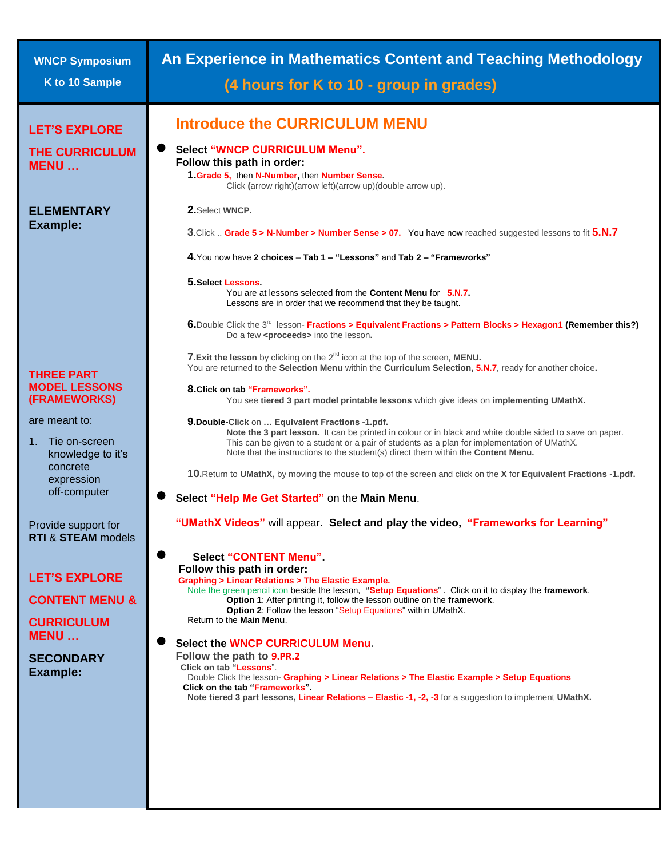| <b>WNCP Symposium</b>                                           | An Experience in Mathematics Content and Teaching Methodology                                                                                                                                          |
|-----------------------------------------------------------------|--------------------------------------------------------------------------------------------------------------------------------------------------------------------------------------------------------|
| K to 10 Sample                                                  |                                                                                                                                                                                                        |
|                                                                 | (4 hours for K to 10 - group in grades)                                                                                                                                                                |
|                                                                 | <b>Introduce the CURRICULUM MENU</b>                                                                                                                                                                   |
| <b>LET'S EXPLORE</b>                                            |                                                                                                                                                                                                        |
| <b>THE CURRICULUM</b>                                           | <b>Select "WNCP CURRICULUM Menu".</b><br>Follow this path in order:                                                                                                                                    |
| <b>MENU</b>                                                     | 1. Grade 5, then N-Number, then Number Sense.                                                                                                                                                          |
|                                                                 | Click (arrow right)(arrow left)(arrow up)(double arrow up).                                                                                                                                            |
| <b>ELEMENTARY</b>                                               | 2. Select WNCP.                                                                                                                                                                                        |
| <b>Example:</b>                                                 | 3. Click  Grade 5 > N-Number > Number Sense > 07. You have now reached suggested lessons to fit 5.N.7                                                                                                  |
|                                                                 | 4. You now have 2 choices - Tab 1 - "Lessons" and Tab 2 - "Frameworks"                                                                                                                                 |
|                                                                 | 5. Select Lessons                                                                                                                                                                                      |
|                                                                 | You are at lessons selected from the <b>Content Menu</b> for 5.N.7.<br>Lessons are in order that we recommend that they be taught.                                                                     |
|                                                                 | 6. Double Click the 3 <sup>rd</sup> lesson- Fractions > Equivalent Fractions > Pattern Blocks > Hexagon1 (Remember this?)<br>Do a few <proceeds> into the lesson.</proceeds>                           |
|                                                                 | 7. Exit the lesson by clicking on the 2 <sup>nd</sup> icon at the top of the screen, MENU.<br>You are returned to the Selection Menu within the Curriculum Selection, 5.N.7, ready for another choice. |
| <b>THREE PART</b><br><b>MODEL LESSONS</b>                       | 8. Click on tab "Frameworks".                                                                                                                                                                          |
| (FRAMEWORKS)                                                    | You see tiered 3 part model printable lessons which give ideas on implementing UMathX.                                                                                                                 |
| are meant to:                                                   | 9. Double-Click on  Equivalent Fractions -1.pdf.<br>Note the 3 part lesson. It can be printed in colour or in black and white double sided to save on paper.                                           |
| 1. Tie on-screen<br>knowledge to it's<br>concrete<br>expression | This can be given to a student or a pair of students as a plan for implementation of UMathX.<br>Note that the instructions to the student(s) direct them within the Content Menu.                      |
|                                                                 | 10. Return to UMathX, by moving the mouse to top of the screen and click on the X for Equivalent Fractions -1.pdf.                                                                                     |
| off-computer                                                    | Select "Help Me Get Started" on the Main Menu.                                                                                                                                                         |
| Provide support for<br><b>RTI &amp; STEAM models</b>            | "UMathX Videos" will appear. Select and play the video, "Frameworks for Learning"                                                                                                                      |
|                                                                 |                                                                                                                                                                                                        |
|                                                                 | <b>Select "CONTENT Menu"</b><br>Follow this path in order:                                                                                                                                             |
| <b>LET'S EXPLORE</b>                                            | <b>Graphing &gt; Linear Relations &gt; The Elastic Example.</b><br>Note the green pencil icon beside the lesson, "Setup Equations". Click on it to display the framework.                              |
| <b>CONTENT MENU &amp;</b>                                       | Option 1: After printing it, follow the lesson outline on the framework.<br><b>Option 2: Follow the lesson "Setup Equations" within UMathX.</b>                                                        |
| <b>CURRICULUM</b>                                               | Return to the <b>Main Menu.</b>                                                                                                                                                                        |
| <b>MENU</b>                                                     | <b>Select the WNCP CURRICULUM Menu.</b>                                                                                                                                                                |
| <b>SECONDARY</b>                                                | Follow the path to 9.PR.2<br>Click on tab "Lessons".                                                                                                                                                   |
| <b>Example:</b>                                                 | Double Click the lesson- Graphing > Linear Relations > The Elastic Example > Setup Equations<br>Click on the tab "Frameworks".                                                                         |
|                                                                 | Note tiered 3 part lessons, Linear Relations - Elastic -1, -2, -3 for a suggestion to implement UMathX.                                                                                                |
|                                                                 |                                                                                                                                                                                                        |
|                                                                 |                                                                                                                                                                                                        |
|                                                                 |                                                                                                                                                                                                        |
|                                                                 |                                                                                                                                                                                                        |
|                                                                 |                                                                                                                                                                                                        |
|                                                                 |                                                                                                                                                                                                        |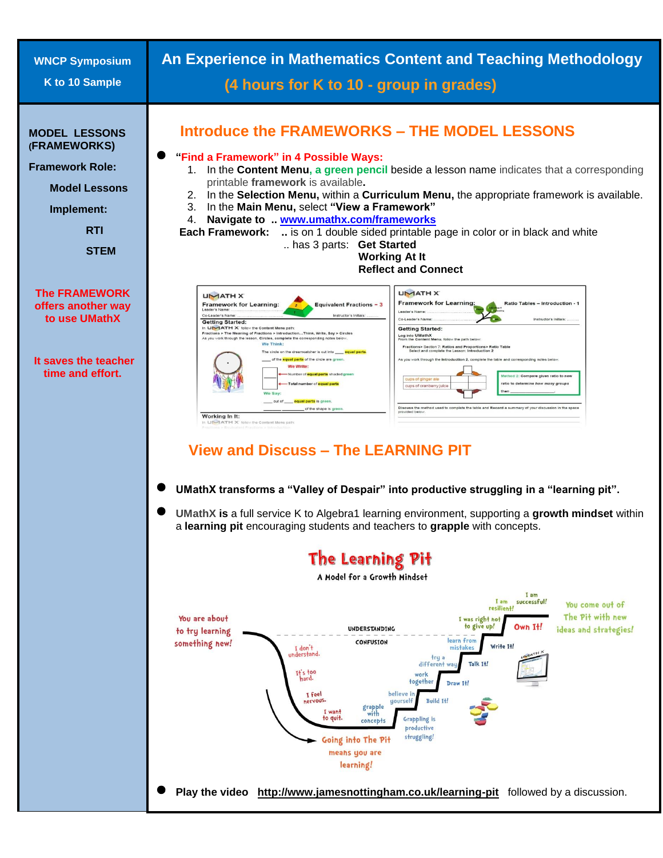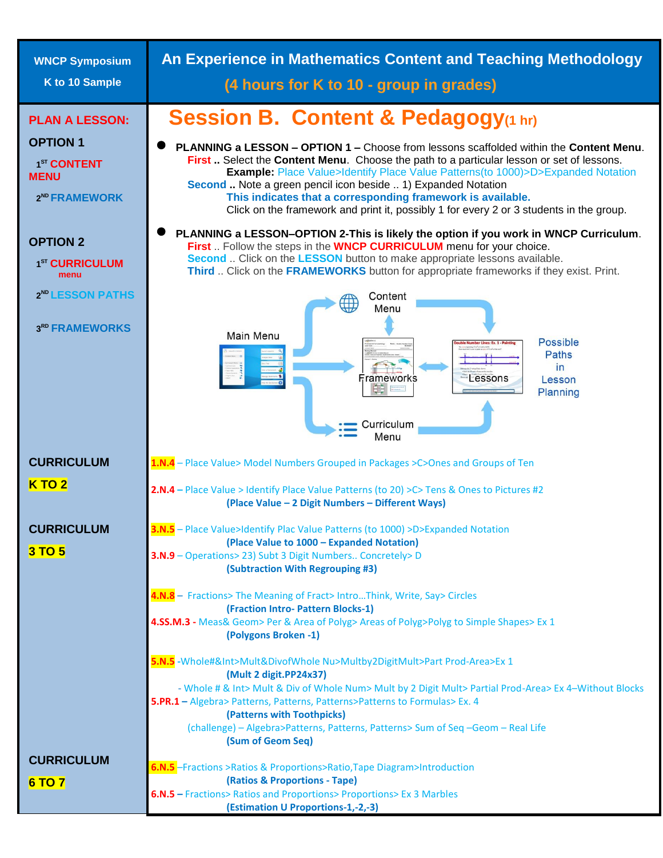| <b>WNCP Symposium</b><br>K to 10 Sample                                                                         | An Experience in Mathematics Content and Teaching Methodology<br>(4 hours for K to 10 - group in grades)                                                                                                                                                                                                                                                                                                                                                                                                                                                          |  |  |
|-----------------------------------------------------------------------------------------------------------------|-------------------------------------------------------------------------------------------------------------------------------------------------------------------------------------------------------------------------------------------------------------------------------------------------------------------------------------------------------------------------------------------------------------------------------------------------------------------------------------------------------------------------------------------------------------------|--|--|
| <b>PLAN A LESSON:</b><br><b>OPTION 1</b><br>1 <sup>ST</sup> CONTENT<br><b>MENU</b><br>2 <sup>ND</sup> FRAMEWORK | <b>Session B. Content &amp; Pedagogy(1 hr)</b><br><b>PLANNING a LESSON - OPTION 1 - Choose from lessons scaffolded within the Content Menu.</b><br>First  Select the Content Menu. Choose the path to a particular lesson or set of lessons.<br><b>Example:</b> Place Value>Identify Place Value Patterns(to 1000)>D>Expanded Notation<br>Second  Note a green pencil icon beside  1) Expanded Notation<br>This indicates that a corresponding framework is available.<br>Click on the framework and print it, possibly 1 for every 2 or 3 students in the group. |  |  |
| <b>OPTION 2</b><br>1 <sup>ST</sup> CURRICULUM<br>menu<br>2 <sup>ND</sup> LESSON PATHS                           | PLANNING a LESSON-OPTION 2-This is likely the option if you work in WNCP Curriculum.<br>First  Follow the steps in the WNCP CURRICULUM menu for your choice.<br>Second  Click on the LESSON button to make appropriate lessons available.<br>Third  Click on the FRAMEWORKS button for appropriate frameworks if they exist. Print.<br>Content                                                                                                                                                                                                                    |  |  |
| 3RD FRAMEWORKS                                                                                                  | Menu<br><b>Main Menu</b><br><b>Possible</b><br><b>Paths</b><br>in<br>Frameworks<br>Lessons<br>Lesson<br>Planning<br>urriculum:<br>Menu                                                                                                                                                                                                                                                                                                                                                                                                                            |  |  |
| <b>CURRICULUM</b>                                                                                               | <b>1.N.4</b> – Place Value> Model Numbers Grouped in Packages >C>Ones and Groups of Ten                                                                                                                                                                                                                                                                                                                                                                                                                                                                           |  |  |
| $K$ TO $2$                                                                                                      | 2.N.4 - Place Value > Identify Place Value Patterns (to 20) >C> Tens & Ones to Pictures #2<br>(Place Value - 2 Digit Numbers - Different Ways)                                                                                                                                                                                                                                                                                                                                                                                                                    |  |  |
| <b>CURRICULUM</b>                                                                                               | 3.N.5 - Place Value>Identify Plac Value Patterns (to 1000) >D>Expanded Notation                                                                                                                                                                                                                                                                                                                                                                                                                                                                                   |  |  |
| <b>3 TO 5</b>                                                                                                   | (Place Value to 1000 - Expanded Notation)<br>3.N.9 - Operations> 23) Subt 3 Digit Numbers Concretely> D<br>(Subtraction With Regrouping #3)                                                                                                                                                                                                                                                                                                                                                                                                                       |  |  |
|                                                                                                                 | 4.N.8 - Fractions> The Meaning of Fract> IntroThink, Write, Say> Circles<br>(Fraction Intro- Pattern Blocks-1)<br>4.SS.M.3 - Meas& Geom> Per & Area of Polyg> Areas of Polyg>Polyg to Simple Shapes> Ex 1<br>(Polygons Broken -1)                                                                                                                                                                                                                                                                                                                                 |  |  |
|                                                                                                                 | 5.N.5 -Whole#∬>Mult&DivofWhole Nu>Multby2DigitMult>Part Prod-Area>Ex 1<br>(Mult 2 digit.PP24x37)<br>- Whole # & Int> Mult & Div of Whole Num> Mult by 2 Digit Mult> Partial Prod-Area> Ex 4-Without Blocks<br>5.PR.1 - Algebra> Patterns, Patterns, Patterns>Patterns to Formulas> Ex. 4<br>(Patterns with Toothpicks)<br>(challenge) - Algebra>Patterns, Patterns, Patterns> Sum of Seq -Geom - Real Life<br>(Sum of Geom Seq)                                                                                                                                   |  |  |
| <b>CURRICULUM</b><br>6 TO 7                                                                                     | 6.N.5 - Fractions > Ratios & Proportions> Ratio, Tape Diagram>Introduction<br>(Ratios & Proportions - Tape)<br>6.N.5 - Fractions> Ratios and Proportions> Proportions> Ex 3 Marbles<br>(Estimation U Proportions-1,-2,-3)                                                                                                                                                                                                                                                                                                                                         |  |  |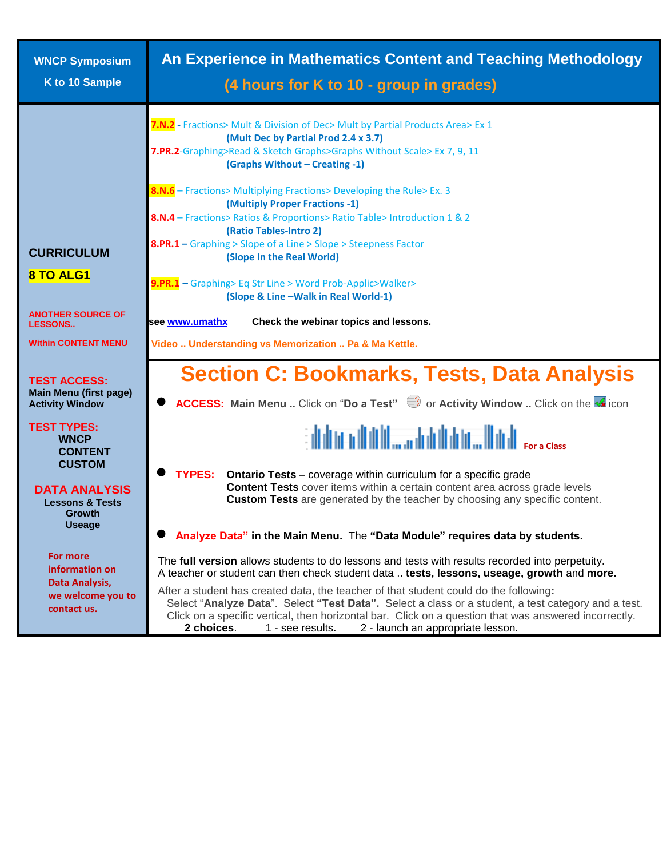| <b>WNCP Symposium</b>                                                          | An Experience in Mathematics Content and Teaching Methodology                                                                                                                                                                                                                                                                                                                |  |  |
|--------------------------------------------------------------------------------|------------------------------------------------------------------------------------------------------------------------------------------------------------------------------------------------------------------------------------------------------------------------------------------------------------------------------------------------------------------------------|--|--|
| K to 10 Sample                                                                 | (4 hours for K to 10 - group in grades)                                                                                                                                                                                                                                                                                                                                      |  |  |
|                                                                                | 7.N.2 - Fractions> Mult & Division of Dec> Mult by Partial Products Area> Ex 1<br>(Mult Dec by Partial Prod 2.4 x 3.7)<br>7.PR.2-Graphing>Read & Sketch Graphs>Graphs Without Scale> Ex 7, 9, 11<br>(Graphs Without - Creating -1)<br>8.N.6 - Fractions> Multiplying Fractions> Developing the Rule> Ex. 3<br>(Multiply Proper Fractions -1)                                 |  |  |
| <b>CURRICULUM</b>                                                              | 8.N.4 - Fractions> Ratios & Proportions> Ratio Table> Introduction 1 & 2<br>(Ratio Tables-Intro 2)<br>8.PR.1 - Graphing > Slope of a Line > Slope > Steepness Factor                                                                                                                                                                                                         |  |  |
| <b>8 TO ALG1</b>                                                               | (Slope In the Real World)<br>9.PR.1 - Graphing> Eq Str Line > Word Prob-Applic>Walker><br>(Slope & Line - Walk in Real World-1)                                                                                                                                                                                                                                              |  |  |
| <b>ANOTHER SOURCE OF</b><br><b>LESSONS</b>                                     | see www.umathx<br>Check the webinar topics and lessons.                                                                                                                                                                                                                                                                                                                      |  |  |
| <b>Within CONTENT MENU</b>                                                     | Video  Understanding vs Memorization  Pa & Ma Kettle.                                                                                                                                                                                                                                                                                                                        |  |  |
| <b>TEST ACCESS:</b><br><b>Main Menu (first page)</b><br><b>Activity Window</b> | <b>Section C: Bookmarks, Tests, Data Analysis</b><br><b>ACCESS:</b> Main Menu  Click on "Do a Test" $\Rightarrow$ or Activity Window  Click on the $\frac{1}{2}$ icon                                                                                                                                                                                                        |  |  |
| <b>TEST TYPES:</b><br><b>WNCP</b><br><b>CONTENT</b><br><b>CUSTOM</b>           | <u>i ildin nildil … ndulululu … Ildil secacas</u>                                                                                                                                                                                                                                                                                                                            |  |  |
| <b>DATA ANALYSIS</b><br><b>Lessons &amp; Tests</b><br><b>Growth</b>            | <b>TYPES:</b><br><b>Ontario Tests</b> – coverage within curriculum for a specific grade<br><b>Content Tests</b> cover items within a certain content area across grade levels<br><b>Custom Tests</b> are generated by the teacher by choosing any specific content.                                                                                                          |  |  |
| <b>Useage</b>                                                                  | Analyze Data" in the Main Menu. The "Data Module" requires data by students.                                                                                                                                                                                                                                                                                                 |  |  |
| For more<br>information on                                                     | The full version allows students to do lessons and tests with results recorded into perpetuity.<br>A teacher or student can then check student data  tests, lessons, useage, growth and more.                                                                                                                                                                                |  |  |
| Data Analysis,<br>we welcome you to<br>contact us.                             | After a student has created data, the teacher of that student could do the following:<br>Select "Analyze Data". Select "Test Data". Select a class or a student, a test category and a test.<br>Click on a specific vertical, then horizontal bar. Click on a question that was answered incorrectly.<br>2 choices.<br>1 - see results.<br>2 - launch an appropriate lesson. |  |  |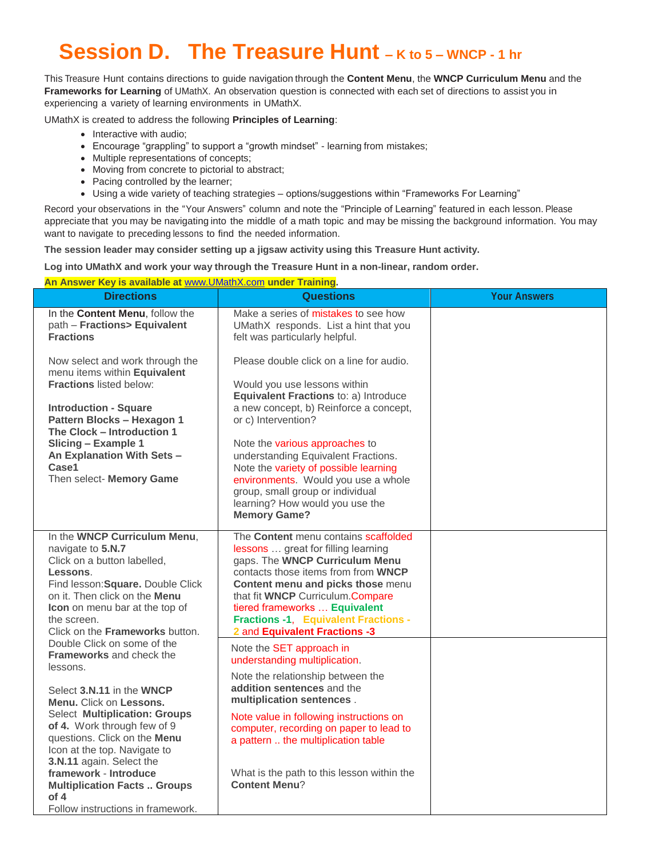## **Session D. The Treasure Hunt – K to 5 – WNCP - 1 hr**

This Treasure Hunt contains directions to guide navigation through the **Content Menu**, the **WNCP Curriculum Menu** and the **Frameworks for Learning** of UMathX. An observation question is connected with each set of directions to assist you in experiencing a variety of learning environments in UMathX.

UMathX is created to address the following **Principles of Learning**:

- Interactive with audio;
- Encourage "grappling" to support a "growth mindset" learning from mistakes;
- Multiple representations of concepts;
- Moving from concrete to pictorial to abstract;
- Pacing controlled by the learner;
- Using a wide variety of teaching strategies options/suggestions within "Frameworks For Learning"

Record your observations in the "Your Answers" column and note the "Principle of Learning" featured in each lesson. Please appreciate that you may be navigating into the middle of a math topic and may be missing the background information. You may want to navigate to preceding lessons to find the needed information.

**The session leader may consider setting up a jigsaw activity using this Treasure Hunt activity.**

**Log into UMathX and work your way through the Treasure Hunt in a non-linear, random order.**

**An Answer Key is available at** [www.UMathX.com](http://www.umathx.com/) **under Training.**

| <b>Directions</b>                                                                                                                                                                                                                                                                                                                                                                                                 | <b>Questions</b>                                                                                                                                                                                                                                                                                                                                                                                                                          | <b>Your Answers</b> |
|-------------------------------------------------------------------------------------------------------------------------------------------------------------------------------------------------------------------------------------------------------------------------------------------------------------------------------------------------------------------------------------------------------------------|-------------------------------------------------------------------------------------------------------------------------------------------------------------------------------------------------------------------------------------------------------------------------------------------------------------------------------------------------------------------------------------------------------------------------------------------|---------------------|
| In the Content Menu, follow the<br>path - Fractions> Equivalent<br><b>Fractions</b>                                                                                                                                                                                                                                                                                                                               | Make a series of mistakes to see how<br>UMathX responds. List a hint that you<br>felt was particularly helpful.                                                                                                                                                                                                                                                                                                                           |                     |
| Now select and work through the<br>menu items within Equivalent<br><b>Fractions</b> listed below:<br><b>Introduction - Square</b><br>Pattern Blocks - Hexagon 1<br>The Clock - Introduction 1<br>Slicing - Example 1<br>An Explanation With Sets -<br>Case1<br>Then select- Memory Game                                                                                                                           | Please double click on a line for audio.<br>Would you use lessons within<br>Equivalent Fractions to: a) Introduce<br>a new concept, b) Reinforce a concept,<br>or c) Intervention?<br>Note the various approaches to<br>understanding Equivalent Fractions.<br>Note the variety of possible learning<br>environments. Would you use a whole<br>group, small group or individual<br>learning? How would you use the<br><b>Memory Game?</b> |                     |
| In the WNCP Curriculum Menu,<br>navigate to 5.N.7<br>Click on a button labelled,<br>Lessons.<br>Find lesson: Square. Double Click<br>on it. Then click on the Menu<br>Icon on menu bar at the top of<br>the screen.<br>Click on the Frameworks button.                                                                                                                                                            | The Content menu contains scaffolded<br>lessons  great for filling learning<br>gaps. The WNCP Curriculum Menu<br>contacts those items from from <b>WNCP</b><br>Content menu and picks those menu<br>that fit WNCP Curriculum.Compare<br>tiered frameworks  Equivalent<br><b>Fractions -1, Equivalent Fractions -</b><br>2 and Equivalent Fractions -3                                                                                     |                     |
| Double Click on some of the<br><b>Frameworks</b> and check the<br>lessons.<br>Select 3.N.11 in the WNCP<br>Menu. Click on Lessons.<br><b>Select Multiplication: Groups</b><br>of 4. Work through few of 9<br>questions. Click on the Menu<br>Icon at the top. Navigate to<br>3.N.11 again. Select the<br>framework - Introduce<br><b>Multiplication Facts Groups</b><br>of 4<br>Follow instructions in framework. | Note the SET approach in<br>understanding multiplication.<br>Note the relationship between the<br>addition sentences and the<br>multiplication sentences.<br>Note value in following instructions on<br>computer, recording on paper to lead to<br>a pattern  the multiplication table<br>What is the path to this lesson within the<br><b>Content Menu?</b>                                                                              |                     |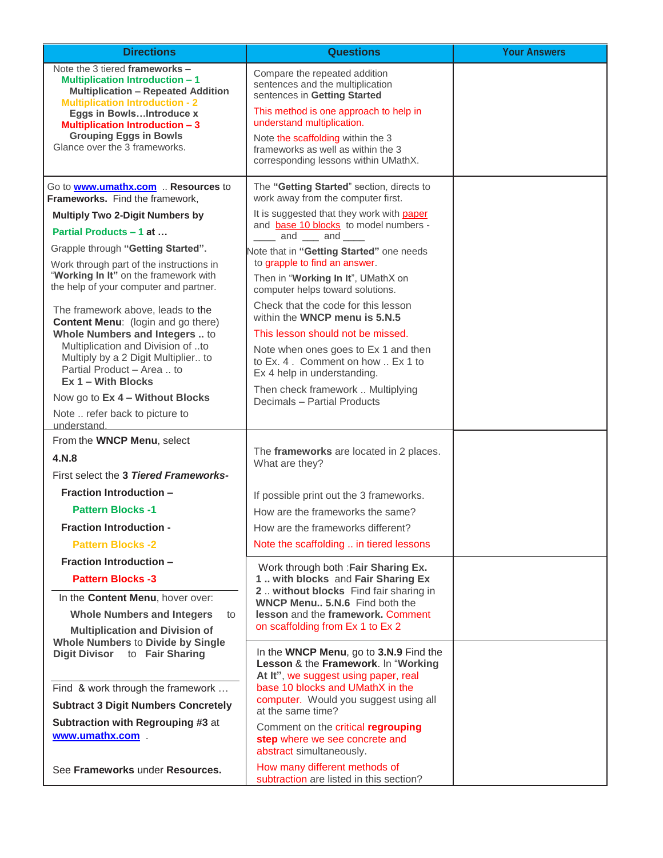| <b>Directions</b>                                                                                                                                               | <b>Questions</b>                                                                                                | <b>Your Answers</b> |
|-----------------------------------------------------------------------------------------------------------------------------------------------------------------|-----------------------------------------------------------------------------------------------------------------|---------------------|
| Note the 3 tiered frameworks -<br><b>Multiplication Introduction - 1</b><br><b>Multiplication - Repeated Addition</b><br><b>Multiplication Introduction - 2</b> | Compare the repeated addition<br>sentences and the multiplication<br>sentences in Getting Started               |                     |
| Eggs in BowlsIntroduce x<br><b>Multiplication Introduction - 3</b>                                                                                              | This method is one approach to help in<br>understand multiplication.                                            |                     |
| <b>Grouping Eggs in Bowls</b><br>Glance over the 3 frameworks.                                                                                                  | Note the scaffolding within the 3<br>frameworks as well as within the 3<br>corresponding lessons within UMathX. |                     |
| Go to <b>www.umathx.com</b> Resources to<br>Frameworks. Find the framework,                                                                                     | The "Getting Started" section, directs to<br>work away from the computer first.                                 |                     |
| <b>Multiply Two 2-Digit Numbers by</b>                                                                                                                          | It is suggested that they work with paper                                                                       |                     |
| Partial Products - 1 at                                                                                                                                         | and base 10 blocks to model numbers -<br>$\frac{1}{\sqrt{2}}$ and $\frac{1}{\sqrt{2}}$ and $\frac{1}{\sqrt{2}}$ |                     |
| Grapple through "Getting Started".                                                                                                                              | Note that in "Getting Started" one needs                                                                        |                     |
| Work through part of the instructions in<br>"Working In It" on the framework with                                                                               | to grapple to find an answer.                                                                                   |                     |
| the help of your computer and partner.                                                                                                                          | Then in "Working In It", UMathX on<br>computer helps toward solutions.                                          |                     |
| The framework above, leads to the<br><b>Content Menu:</b> (login and go there)                                                                                  | Check that the code for this lesson<br>within the WNCP menu is 5.N.5                                            |                     |
| Whole Numbers and Integers  to                                                                                                                                  | This lesson should not be missed.                                                                               |                     |
| Multiplication and Division of to<br>Multiply by a 2 Digit Multiplier to<br>Partial Product - Area  to<br>$Ex 1 - With Blocks$                                  | Note when ones goes to Ex 1 and then<br>to Ex. 4. Comment on how  Ex 1 to<br>Ex 4 help in understanding.        |                     |
| Now go to Ex 4 - Without Blocks                                                                                                                                 | Then check framework  Multiplying                                                                               |                     |
| Note  refer back to picture to<br>understand.                                                                                                                   | Decimals - Partial Products                                                                                     |                     |
| From the WNCP Menu, select                                                                                                                                      |                                                                                                                 |                     |
| 4.N.8                                                                                                                                                           | The frameworks are located in 2 places.                                                                         |                     |
| First select the 3 Tiered Frameworks-                                                                                                                           | What are they?                                                                                                  |                     |
| <b>Fraction Introduction -</b>                                                                                                                                  | If possible print out the 3 frameworks.                                                                         |                     |
| <b>Pattern Blocks -1</b>                                                                                                                                        | How are the frameworks the same?                                                                                |                     |
| <b>Fraction Introduction -</b>                                                                                                                                  | How are the frameworks different?                                                                               |                     |
| <b>Pattern Blocks -2</b>                                                                                                                                        | Note the scaffolding  in tiered lessons                                                                         |                     |
| <b>Fraction Introduction -</b>                                                                                                                                  | Work through both : Fair Sharing Ex.                                                                            |                     |
| <b>Pattern Blocks -3</b>                                                                                                                                        | 1. with blocks and Fair Sharing Ex                                                                              |                     |
| In the Content Menu, hover over:                                                                                                                                | 2. without blocks Find fair sharing in<br>WNCP Menu 5.N.6 Find both the                                         |                     |
| <b>Whole Numbers and Integers</b><br>to                                                                                                                         | lesson and the framework. Comment                                                                               |                     |
| <b>Multiplication and Division of</b>                                                                                                                           | on scaffolding from Ex 1 to Ex 2                                                                                |                     |
| <b>Whole Numbers to Divide by Single</b><br><b>Digit Divisor</b><br>to Fair Sharing                                                                             | In the WNCP Menu, go to 3.N.9 Find the<br>Lesson & the Framework. In "Working                                   |                     |
| Find & work through the framework                                                                                                                               | At It", we suggest using paper, real<br>base 10 blocks and UMathX in the                                        |                     |
| <b>Subtract 3 Digit Numbers Concretely</b>                                                                                                                      | computer. Would you suggest using all                                                                           |                     |
| Subtraction with Regrouping #3 at                                                                                                                               | at the same time?<br>Comment on the critical regrouping                                                         |                     |
| www.umathx.com .                                                                                                                                                | step where we see concrete and<br>abstract simultaneously.                                                      |                     |
| See Frameworks under Resources.                                                                                                                                 | How many different methods of<br>subtraction are listed in this section?                                        |                     |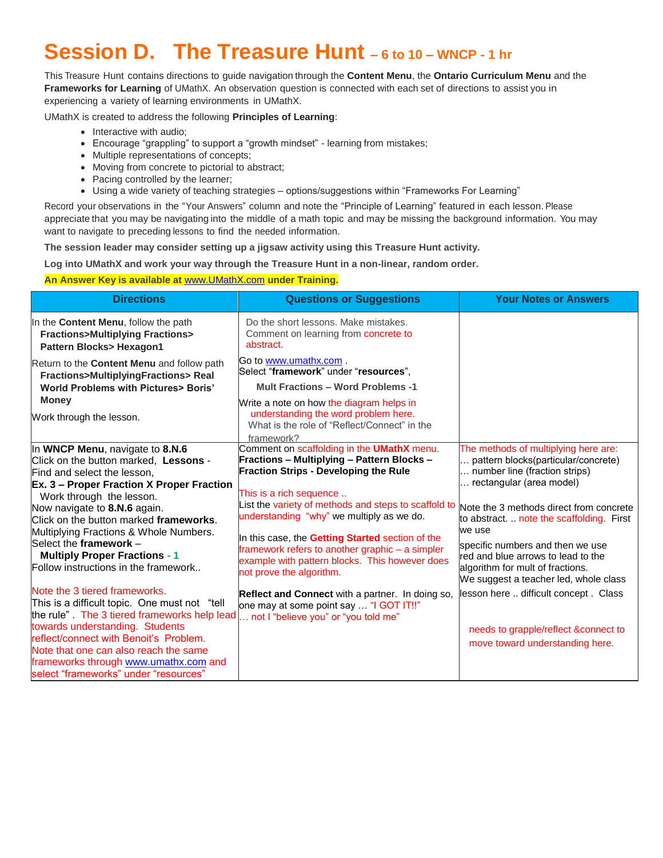## **Session D. The Treasure Hunt – <sup>6</sup> to 10 – WNCP - 1 hr**

This Treasure Hunt contains directions to guide navigation through the **Content Menu**, the **Ontario Curriculum Menu** and the **Frameworks for Learning** of UMathX. An observation question is connected with each set of directions to assist you in experiencing a variety of learning environments in UMathX.

UMathX is created to address the following **Principles of Learning**:

- Interactive with audio;
- Encourage "grappling" to support a "growth mindset" learning from mistakes;
- Multiple representations of concepts;
- Moving from concrete to pictorial to abstract;
- Pacing controlled by the learner;
- Using a wide variety of teaching strategies options/suggestions within "Frameworks For Learning"

Record your observations in the "Your Answers" column and note the "Principle of Learning" featured in each lesson. Please appreciate that you may be navigating into the middle of a math topic and may be missing the background information. You may want to navigate to preceding lessons to find the needed information.

**The session leader may consider setting up a jigsaw activity using this Treasure Hunt activity.**

**Log into UMathX and work your way through the Treasure Hunt in a non-linear, random order.**

**An Answer Key is available at** [www.UMathX.com](http://www.umathx.com/) **under Training.**

| <b>Directions</b>                                                                                                                                                                                                                                                                                                                                                                                                     | <b>Questions or Suggestions</b>                                                                                                                                                                                                                                                                                                                                                                                                                                      | <b>Your Notes or Answers</b>                                                                                                                                                                                                                                                                                                                                                                    |
|-----------------------------------------------------------------------------------------------------------------------------------------------------------------------------------------------------------------------------------------------------------------------------------------------------------------------------------------------------------------------------------------------------------------------|----------------------------------------------------------------------------------------------------------------------------------------------------------------------------------------------------------------------------------------------------------------------------------------------------------------------------------------------------------------------------------------------------------------------------------------------------------------------|-------------------------------------------------------------------------------------------------------------------------------------------------------------------------------------------------------------------------------------------------------------------------------------------------------------------------------------------------------------------------------------------------|
| In the Content Menu, follow the path<br><b>Fractions&gt;Multiplying Fractions&gt;</b><br>Pattern Blocks> Hexagon1                                                                                                                                                                                                                                                                                                     | Do the short lessons. Make mistakes.<br>Comment on learning from concrete to<br>abstract.                                                                                                                                                                                                                                                                                                                                                                            |                                                                                                                                                                                                                                                                                                                                                                                                 |
| Return to the <b>Content Menu</b> and follow path<br>Fractions>MultiplyingFractions> Real<br><b>World Problems with Pictures&gt; Boris'</b><br><b>Money</b><br>Work through the lesson.                                                                                                                                                                                                                               | Go to www.umathx.com.<br>Select "framework" under "resources",<br><b>Mult Fractions - Word Problems -1</b><br>Write a note on how the diagram helps in<br>understanding the word problem here.<br>What is the role of "Reflect/Connect" in the<br>framework?                                                                                                                                                                                                         |                                                                                                                                                                                                                                                                                                                                                                                                 |
| In WNCP Menu, navigate to 8.N.6<br>Click on the button marked, Lessons -<br>Find and select the lesson,<br><b>Ex. 3 – Proper Fraction X Proper Fraction</b><br>Work through the lesson.<br>Now navigate to 8.N.6 again.<br>Click on the button marked frameworks.<br>Multiplying Fractions & Whole Numbers.<br>Select the framework -<br><b>Multiply Proper Fractions - 1</b><br>Follow instructions in the framework | Comment on scaffolding in the <b>UMathX</b> menu.<br>Fractions - Multiplying - Pattern Blocks -<br><b>Fraction Strips - Developing the Rule</b><br>This is a rich sequence<br>List the variety of methods and steps to scaffold to<br>understanding "why" we multiply as we do.<br>In this case, the Getting Started section of the<br>framework refers to another graphic - a simpler<br>example with pattern blocks. This however does<br>not prove the algorithm. | The methods of multiplying here are:<br>pattern blocks(particular/concrete)<br>number line (fraction strips)<br>rectangular (area model)<br>Note the 3 methods direct from concrete<br>to abstract note the scaffolding. First<br>we use<br>specific numbers and then we use<br>red and blue arrows to lead to the<br>algorithm for mult of fractions.<br>We suggest a teacher led, whole class |
| Note the 3 tiered frameworks.<br>This is a difficult topic. One must not "tell<br>the rule". The 3 tiered frameworks help lead<br>towards understanding. Students<br>reflect/connect with Benoit's Problem.<br>Note that one can also reach the same<br>frameworks through www.umathx.com and<br>select "frameworks" under "resources"                                                                                | Reflect and Connect with a partner. In doing so,<br>one may at some point say  "I GOT IT!!"<br>not I "believe you" or "you told me"                                                                                                                                                                                                                                                                                                                                  | lesson here  difficult concept . Class<br>needs to grapple/reflect & connect to<br>move toward understanding here.                                                                                                                                                                                                                                                                              |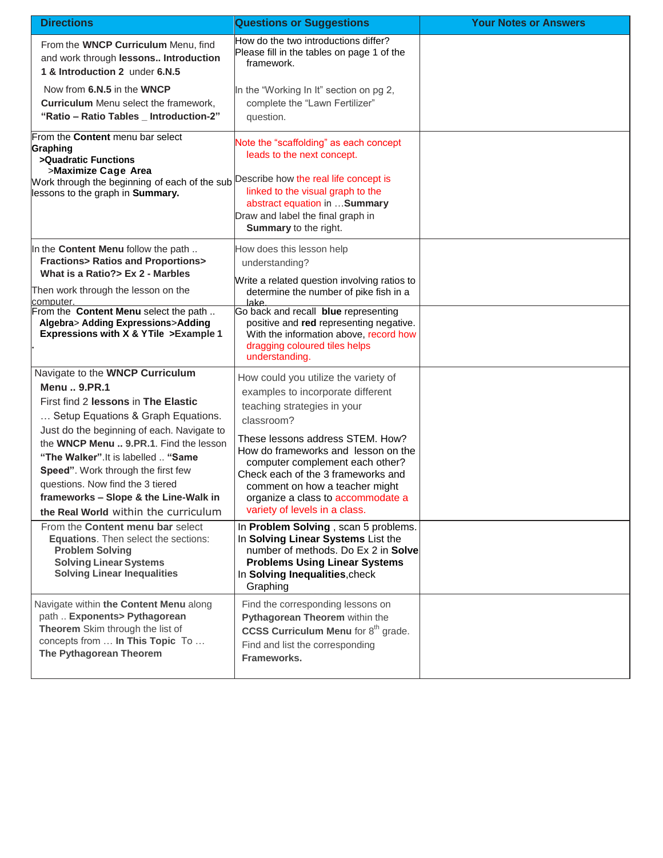| <b>Directions</b>                                                                                                                                                                                                                                                                                                                                                                                                              | <b>Questions or Suggestions</b>                                                                                                                                                                                                                                                                                                                                                    | <b>Your Notes or Answers</b> |
|--------------------------------------------------------------------------------------------------------------------------------------------------------------------------------------------------------------------------------------------------------------------------------------------------------------------------------------------------------------------------------------------------------------------------------|------------------------------------------------------------------------------------------------------------------------------------------------------------------------------------------------------------------------------------------------------------------------------------------------------------------------------------------------------------------------------------|------------------------------|
| From the WNCP Curriculum Menu, find<br>and work through lessons Introduction<br>1 & Introduction 2 under 6.N.5                                                                                                                                                                                                                                                                                                                 | How do the two introductions differ?<br>Please fill in the tables on page 1 of the<br>framework.                                                                                                                                                                                                                                                                                   |                              |
| Now from 6.N.5 in the WNCP<br><b>Curriculum</b> Menu select the framework,<br>"Ratio - Ratio Tables _ Introduction-2"                                                                                                                                                                                                                                                                                                          | In the "Working In It" section on pg 2,<br>complete the "Lawn Fertilizer"<br>question.                                                                                                                                                                                                                                                                                             |                              |
| From the Content menu bar select<br>Graphing<br>>Quadratic Functions<br>>Maximize Cage Area<br>Work through the beginning of each of the sub<br>lessons to the graph in Summary.                                                                                                                                                                                                                                               | Note the "scaffolding" as each concept<br>leads to the next concept.<br>Describe how the real life concept is<br>linked to the visual graph to the<br>abstract equation in  Summary<br>Draw and label the final graph in<br>Summary to the right.                                                                                                                                  |                              |
| In the Content Menu follow the path<br><b>Fractions&gt; Ratios and Proportions&gt;</b><br>What is a Ratio?> Ex 2 - Marbles<br>Then work through the lesson on the<br>computer.                                                                                                                                                                                                                                                 | How does this lesson help<br>understanding?<br>Write a related question involving ratios to<br>determine the number of pike fish in a<br>lake.                                                                                                                                                                                                                                     |                              |
| From the Content Menu select the path<br>Algebra> Adding Expressions>Adding<br>Expressions with X & YTile > Example 1                                                                                                                                                                                                                                                                                                          | Go back and recall blue representing<br>positive and red representing negative.<br>With the information above, record how<br>dragging coloured tiles helps<br>understanding.                                                                                                                                                                                                       |                              |
| Navigate to the WNCP Curriculum<br><b>Menu., 9.PR.1</b><br>First find 2 lessons in The Elastic<br>Setup Equations & Graph Equations.<br>Just do the beginning of each. Navigate to<br>the WNCP Menu  9.PR.1. Find the lesson<br>"The Walker". It is labelled  "Same<br>Speed". Work through the first few<br>questions. Now find the 3 tiered<br>frameworks - Slope & the Line-Walk in<br>the Real World within the curriculum | How could you utilize the variety of<br>examples to incorporate different<br>teaching strategies in your<br>classroom?<br>These lessons address STEM. How?<br>How do frameworks and lesson on the<br>computer complement each other?<br>Check each of the 3 frameworks and<br>comment on how a teacher might<br>organize a class to accommodate a<br>variety of levels in a class. |                              |
| From the Content menu bar select<br>Equations. Then select the sections:<br><b>Problem Solving</b><br><b>Solving Linear Systems</b><br><b>Solving Linear Inequalities</b>                                                                                                                                                                                                                                                      | In Problem Solving, scan 5 problems.<br>In Solving Linear Systems List the<br>number of methods. Do Ex 2 in Solve<br><b>Problems Using Linear Systems</b><br>In Solving Inequalities, check<br>Graphing                                                                                                                                                                            |                              |
| Navigate within the Content Menu along<br>path  Exponents> Pythagorean<br>Theorem Skim through the list of<br>concepts from  In This Topic To<br>The Pythagorean Theorem                                                                                                                                                                                                                                                       | Find the corresponding lessons on<br>Pythagorean Theorem within the<br>CCSS Curriculum Menu for $8th$ grade.<br>Find and list the corresponding<br>Frameworks.                                                                                                                                                                                                                     |                              |